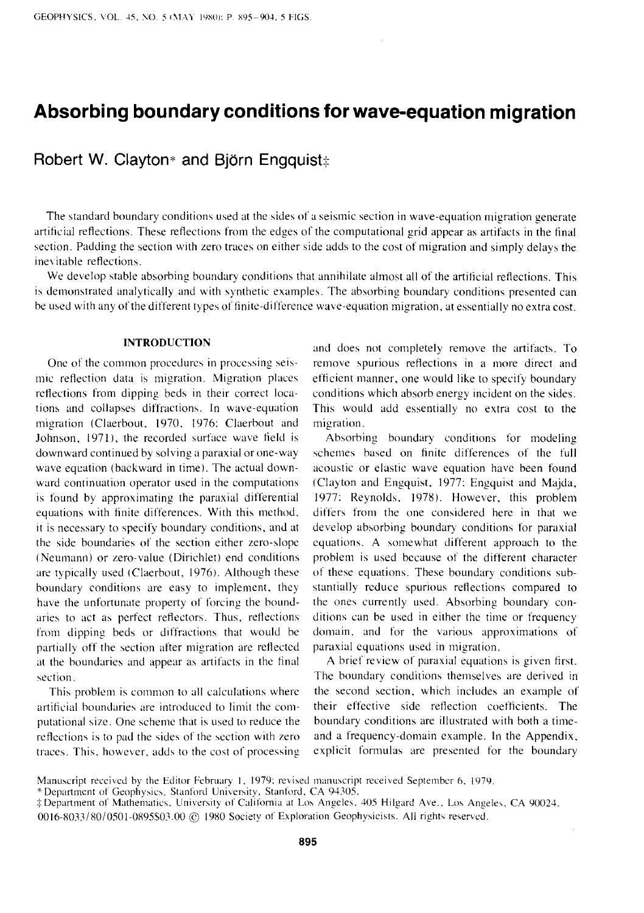# **Absorbing boundary conditions for wave-equation migration**

# **Robert W. Clayton\* and Björn Engquist**#

The standard boundary conditions used at the sides of a seismic section in wave-equation migration generate artificial reflections. These reflections from the edges of the computational grid appear as artifacts in the final section. Padding the section with zero traces on either side adds to the cost of migration and simply delays the inevitable reflections.

We develop stable absorbing boundary conditions that annihilate almost all of the artificial reflections. This is demonstrated analytically and with synthetic examples. The absorbing boundary conditions presented can be used with any of the different types of finite-difference wave-equation migration, at essentially no extra cost.

#### **INTRODUCTION**

One of the common procedures in processing seismic reflection data is migration. Migration places reflections from dipping beds in their correct locations and collapses diffractions. In wave-equation migration (Claerbout, 1970. 1976: Claerbout and Johnson, 1971), the recorded surface wave field is downward continued by solving a paraxial or one-way wave equation (backward in time). The actual downward continuation operator used in the computations is found by approximating the paraxial differential equations with finite differences. With this method, it is necessary to specify boundary conditions, and at the side boundaries of the section either zero-slope (Neumann) or zero-value (Dirichlet) end conditions are typically used (Claerbout, 1976). Although these boundary conditions are easy to implement, they have the unfortunate property of forcing the boundaries to act as perfect reflectors. Thus, reflections from dipping beds or diffractions that would be partially off the section after migration are reflected at the boundaries and appear as artifacts in the final section.

This problem is common to all calculations where artificial boundaries are introduced to limit the computational size. One scheme that is used to reduce the reflections is to pad the sides of the section with zero traces. This, however, adds to the cost of processing and does not completely remove the artifacts. To remove spurious reflections in a more direct and efficient manner, one would like to specify boundary conditions which absorb energy incident on the sides. This would add essentially no extra cost to the migration.

Absorbing boundary conditions for modeling schemes based on finite differences of the full acoustic or elastic wave equation have been found (Clayton and Engquist, 1977: Engquist and Majda, 1977: Reynolds. 1978). However, this problem differs from the one considered here in that we develop absorbing boundary conditions for paraxial equations. A somewhat different approach to the problem is used because of the different character of these equations. These boundary conditions substantially reduce spurious reflections compared to the ones currently used. Absorbing boundary conditions can be used in either the time or frequency domain. and for the various approximations of paraxial equations used in migration.

A brief review of paraxial equations is given first. The boundary conditions themselves are derived in the second section, which includes an example of their effective side reflection coefficients. The boundary conditions are illustrated with both a timeand a frequency-domain example. In the Appendix, explicit formulas are presented for the boundary

Manuscript received by the Editor February 1, 1979; revised manuscript received September 6, 1979.

<sup>\*</sup>Department of Geophysics. Stanford University. Stanford. CA 94305.

<sup>:</sup>j: Department of Mathematics. University of California at Los Angeles. 405 Hilgard Ave .. Los Angeles. CA '}0024. 0016-8033/80/0501-0895S03.00 © 1980 Society of Exploration Geophysicists. All rights reserved.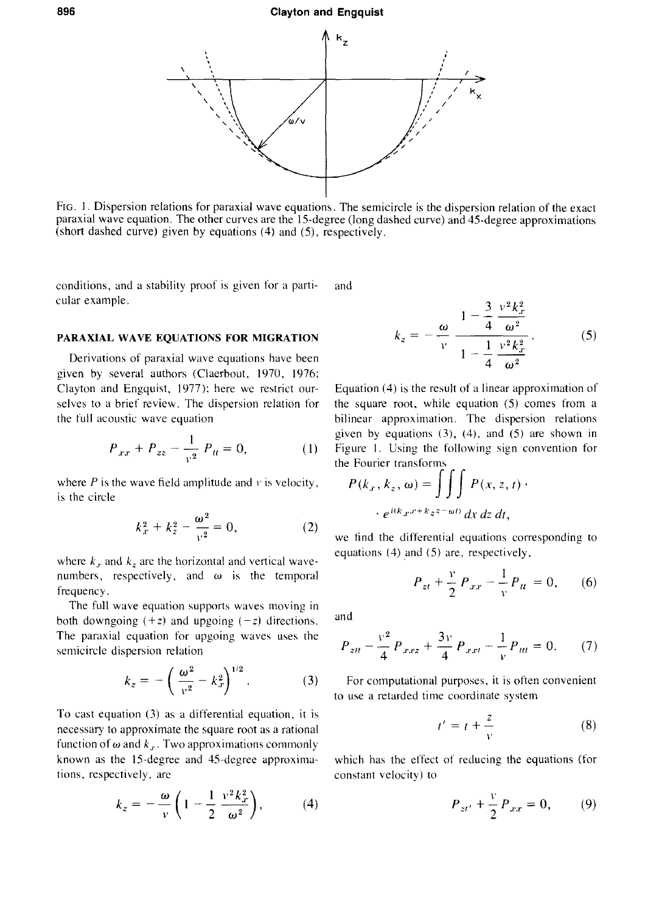#### **896 Clayton and Engquist**



FIG. I. Dispersion relations for paraxial wave equations. The semicircle is the dispersion relation of the exact paraxial wave equation. The other curves are the 15-degree (long dashed curve) and 45-degree approximations (short dashed curve) given by equations (4) and (5), respectively.

conditions, and a stability proof is given for a parti- and cular example.

### **PARAXIAL WAVE EQUATIONS FOR MIGRATION**

Derivations of paraxial wave equations have been given by several authors (Claerbout, 1970, 1976; Clayton and Engquist, 1977 ): here we restrict ourselves to a brief review. The dispersion relation for the full acoustic wave equation

$$
P_{xx} + P_{zz} - \frac{1}{v^2} P_{tt} = 0, \tag{1}
$$

where  $P$  is the wave field amplitude and  $v$  is velocity, is the circle

$$
k_x^2 + k_z^2 - \frac{\omega^2}{v^2} = 0, \tag{2}
$$

where  $k_x$  and  $k_z$  are the horizontal and vertical wavenumbers, respectively, and  $\omega$  is the temporal frequency.

The full wave equation supports waves moving in both downgoing  $(+z)$  and upgoing  $(-z)$  directions. The paraxial equation for upgoing waves uses the semicircle dispersion relation

$$
k_z = -\left(\frac{\omega^2}{v^2} - k_x^2\right)^{1/2}.\tag{3}
$$

To cast equation (3) as a differential equation, it is necessary to approximate the square root as a rational function of  $\omega$  and  $k_x$ . Two approximations commonly known as the 15-degree and 45-degree approximations, respectively. are

$$
k_z = -\frac{\omega}{\nu} \left( 1 - \frac{1}{2} \frac{v^2 k_x^2}{\omega^2} \right), \tag{4}
$$

$$
k_z = -\frac{\omega}{v} \frac{1 - \frac{3}{4} \frac{v^2 k_x^2}{\omega^2}}{1 - \frac{1}{4} \frac{v^2 k_x^2}{\omega^2}}.
$$
 (5)

Equation (4) is the result of a linear approximation of the square root, while equation (5) comes from a bilinear approximation. The dispersion relations given by equations  $(3)$ ,  $(4)$ , and  $(5)$  are shown in Figure 1. Using the following sign convention for the Fourier transforms

$$
P(k_x, k_z, \omega) = \iiint P(x, z, t) \cdot e^{i(k_x x + k_z z - \omega t)} dx dz dt,
$$

we find the differential equations corresponding to equations (4) and (5) are, respectively,

$$
P_{zt} + \frac{v}{2} P_{xx} - \frac{1}{v} P_{tt} = 0, \qquad (6)
$$

and

$$
P_{ztt} - \frac{v^2}{4} P_{xxx} + \frac{3v}{4} P_{xxt} - \frac{1}{v} P_{ttt} = 0.
$$
 (7)

For computational purposes, it is often convenient to use a retarded time coordinate system

$$
t' = t + \frac{z}{v} \tag{8}
$$

which has the effect of reducing the equations (for constant velocity) to

$$
P_{zt'} + \frac{v}{2} P_{xx} = 0, \t(9)
$$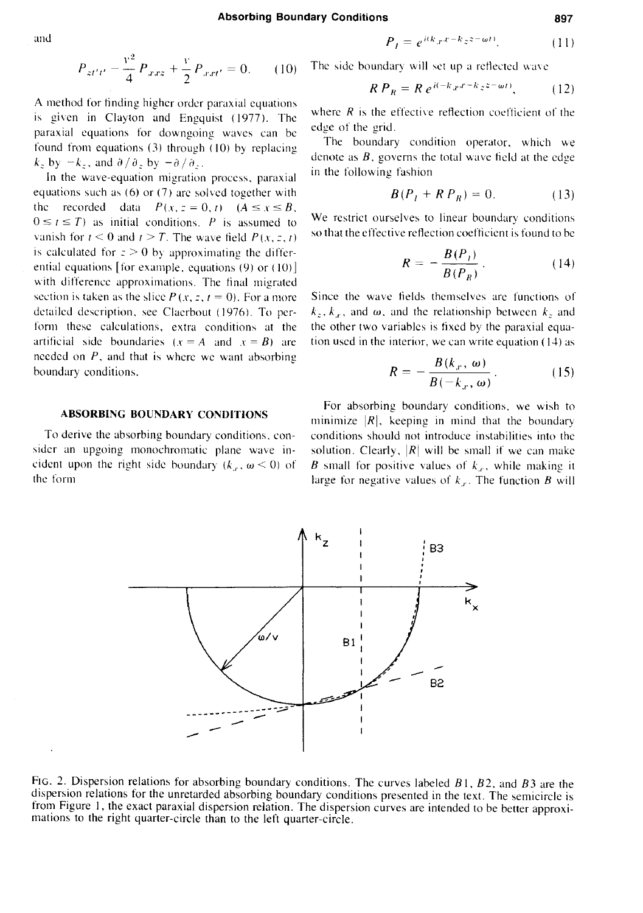and  $P_1 = e^{i(k_x x - k_z z - \omega t)}$  (11)

$$
P_{z t' t'} - \frac{v^2}{4} P_{x x z} + \frac{v}{2} P_{x x t'} = 0.
$$
 (10)

A method for finding higher order paraxial equations is given in Clayton and Engquist (1977). The paraxial equations for downgoing waves can be found from equations {3) through ( 10) *by* replacing  $k_z$  by  $-k_z$ , and  $\partial/\partial_z$  by  $-\partial/\partial_z$ .

In the wave-equation migration process, paraxial equations such as  $(6)$  or  $(7)$  are solved together with the recorded data  $P(x, z = 0, t)$   $(A \le x \le B,$  $0 \le t \le T$ ) as initial conditions. P is assumed to vanish for  $t \le 0$  and  $t \ge T$ . The wave field  $P(x, z, t)$ is calculated for  $z > 0$  by approximating the differential equations [for example, equations  $(9)$  or  $(10)$ ] with difference approximations. The final migrated section is taken as the slice  $P(x, z, t = 0)$ . For a more detailed description, see Ciaerbout ( 1976). To perform these calculations, extra conditions at the artificial side boundaries  $(x = A \text{ and } x = B)$  are needed on *P,* and that is where we want absorbing boundary conditions.

# **ABSORBING BOUNDARY CONDITIONS**

To derive the absorbing boundary conditions. consider an upgoing monochromatic plane wave incident upon the right side boundary  $(k_x, \omega \le 0)$  of the form

<sup>p</sup>*zt't'* -4 <sup>p</sup>*.r.rz* + 2 *Pl'.rt'* = 0. ( 1 0) The -,ide boundary will -.ct up a rctlectcd wa\ c

$$
RP_R = R e^{i(-k_x x - k_z z - \omega t)}, \qquad (12)
$$

where  $R$  is the effective reflection coefficient of the edge of the grid.

The boundary condition operator, which we denote as *B,* governs the total wave field at the edge in the following fashion

$$
B(P_I + R P_R) = 0. \tag{13}
$$

We restrict ourselves to linear boundary conditions so that the effective retlection coefficient is found to be

$$
R = -\frac{B(P_I)}{B(P_B)}.
$$
 (14)

Since the wave fields themselves are functions of  $k_z$ ,  $k_x$ , and  $\omega$ , and the relationship between  $k_z$  and the other two variables is fixed by the paraxial equation used in the interior, we can write equation  $(14)$  as

$$
R = -\frac{B(k_x, \omega)}{B(-k_x, \omega)}.
$$
 (15)

For absorbing boundary conditions. we wish to minimize  $|R|$ , keeping in mind that the boundary conditions should not introduce instabilities into the solution. Clearly,  $|R|$  will be small if we can make B small for positive values of  $k<sub>r</sub>$ , while making it large for negative values of  $k_r$ . The function *B* will



FIG. 2. Dispersion relations for absorbing boundary conditions. The curves labeled *B* I, *82,* and *83* are the dispersion relations for the unretarded absorbing boundary conditions presented in the text. The semicircle is from Figure I, the exact paraxial dispersion relation. The dispersion curves are intended to be better approximations to the right quarter-circle than to the left quarter-circle.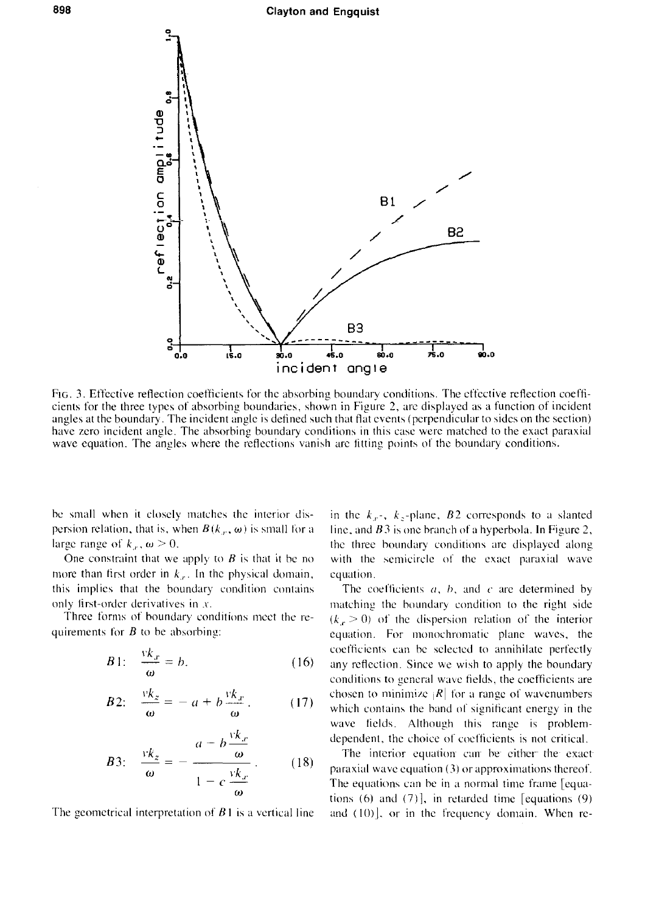

FtG. 3. Effective reflection coefficients for the absorbing boundary conditions. The effective reflection coefficients for the three types of absorbing boundaries, shown in Figure 2, arc displayed as a function of incident angles at the boundary. The incident angle is defined such that fiat events (perpendicular to sides on the section) have zero incident angle. The absorbing boundary conditions in this case were matched to the exact paraxial wave equation. The angles where the reflections vanish are fitting points of the boundary conditions.

be small when it closely matches the interior dispersion relation, that is, when  $B(k_x, \omega)$  is small for a large range of  $k_r$ ,  $\omega > 0$ .

One constraint that we apply to *B* is that it be no more than first order in  $k_x$ . In the physical domain, this implies that the boundary condition contains only first-order derivatives in *x.* 

Three forms of boundary conditions meet the requiremcnts for *8* to be absorbing:

$$
B1: \quad \frac{vk_x}{\omega} = b. \tag{16}
$$

$$
B2: \quad \frac{vk_z}{\omega} = -a + b \frac{vk_x}{\omega} \,. \tag{17}
$$

B3: 
$$
\frac{vk_z}{\omega} = -\frac{a - b\frac{vk_x}{\omega}}{1 - c\frac{vk_x}{\omega}}.
$$
 (18)

The geometrical interpretation of  $B1$  is a vertical line

in the  $k_x$ -,  $k_z$ -plane,  $B2$  corresponds to a slanted line, and  $B_3$  is one branch of a hyperbola. In Figure 2, the three boundary conditions arc displayed along with the semicircle of the exact paraxial wave equation.

The coefficients *a, h.* and *c* arc determined by matching the boundary condition to the right side  $(k<sub>x</sub> > 0)$  of the dispersion relation of the interior equation. For monochromatic plane waves, the coefficients can be selected to annihilate perfectly any reflection. Since we wish to apply the boundary conditions to general wave fields, the coefficients are chosen to minimize  $|R|$  for a range of wavenumbers which contains the band of significant energy in the wave fields. Although this range is problemdependent, the choice of coefficients is not critical.

The interior equation can be either the exact paraxial wave equation (3) or approximations thereof. The equations can be in a normal time frame [equations (6) and  $(7)$ , in retarded time [equations  $(9)$ ] and  $(10)$ , or in the frequency domain. When re-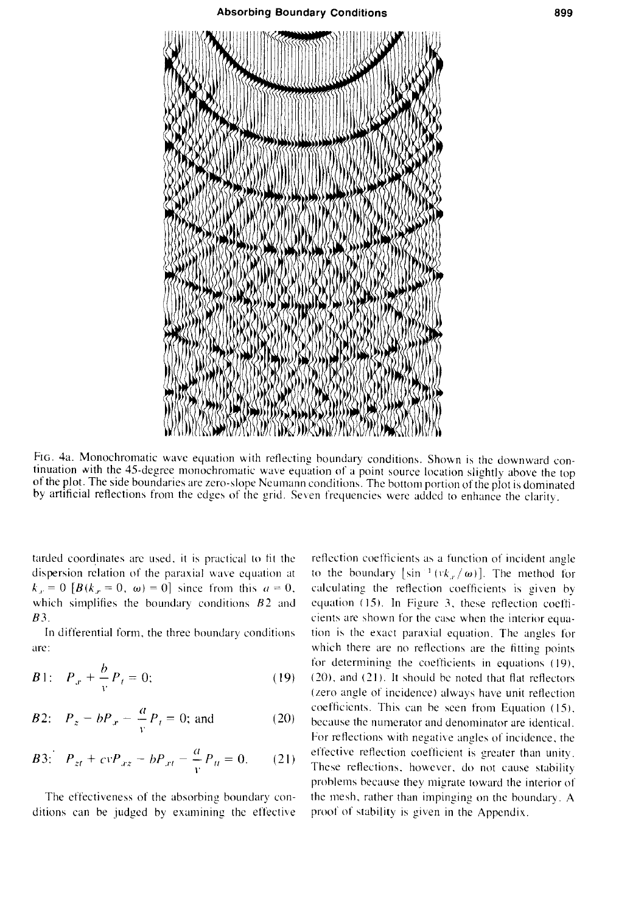

FIG. 4a. Monochromatic wave equation with reflecting boundary conditions. Shown is the downward continuation with the 45-degree monochromatic wave equation of a point source location slightly above the top of the plot. The side boundaries are zero-slope Neumann conditiom. The bottom portion of the plot is dominated by artificial reflections from the edges of the grid. Seven frequencies were added to enhance the clarity.

tarded coordinates are used, it is practical to fit the dispersion relation of the paraxial wave equation at  $k_x = 0$  [ $B(k_x = 0, \omega) = 0$ ] since from this  $a = 0$ , which simplifies the boundary conditions  $B2$  and *83.* 

In differential form. the three boundary conditions **are:** 

B1: 
$$
P_x + \frac{b}{v} P_t = 0;
$$
 (19)

B2: 
$$
P_z - bP_x - \frac{a}{v}P_t = 0
$$
; and (20)

$$
B3: \quad P_{zt} + cvP_{xz} - bP_{xt} - \frac{a}{v}P_{tt} = 0. \tag{21}
$$

The effectiveness of the absorbing boundary conditions can be judged by examining the effective

reflection coefficients as a function of incident angle to the boundary [sin<sup>-1</sup> ( $vk_x / ω$ )]. The method for calculating the reflection coefficients is given by equation *(* 15). In Figure 3. these reflection coefficients are shown for the case when the interior equation is the exact paraxial equation. The angles for which there are no reflections are the fitting points for determining the coefficients in equations ( 19),  $(20)$ , and  $(21)$ . It should be noted that flat reflectors (zero angle of incidence) always have unit reflection coefficients. This can be seen from Equation (15), because the numerator and denominator are identical. For reflections with negative angles of incidence, the effective reflection coefficient is greater than unity. These reflections. however. do not cause stability problems because they migrate toward the interior of the mesh. rather than impinging on the boundary. A proof of stability is given in the Appendix.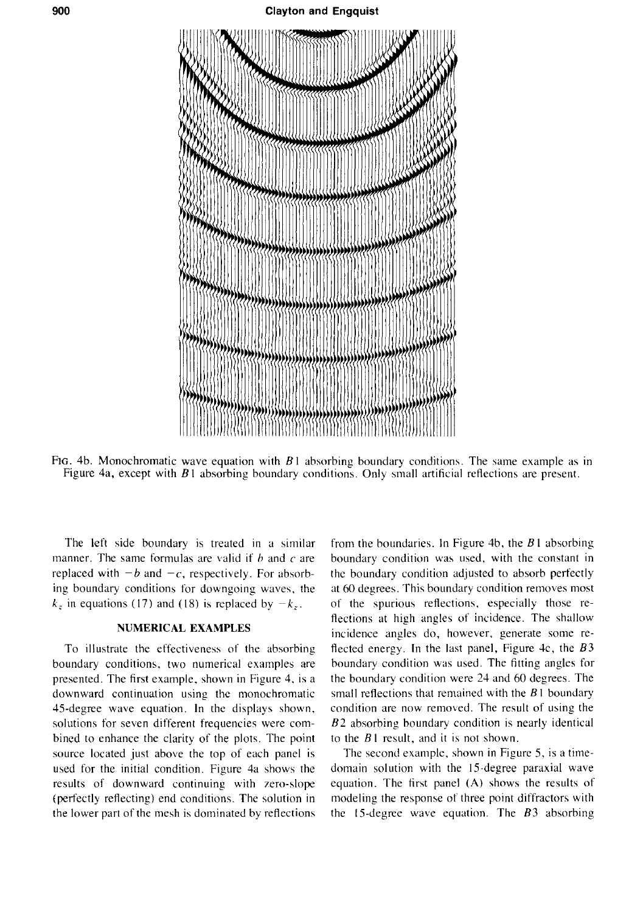

FIG. 4b. Monochromatic wave equation with *8* I absorbing boundary conditions. The same example as in Figure 4a, except with *8* I absorbing boundary conditions. Only small artificial reflections are present.

The left side boundary is treated in a similar manner. The same formulas are valid if *h* and *c* are replaced with  $-b$  and  $-c$ , respectively. For absorbing boundary conditions for downgoing waves. the  $k_z$  in equations (17) and (18) is replaced by  $-k_z$ .

# **NUMERICAL EXAMPLES**

To illustrate the effectiveness of the absorbing boundary conditions, two numerical examples are presented. The first example, shown in Figure 4. is a downward continuation using the monochromatic 4S-degree wave equation. In the displays shown, solutions for seven different frequencies were combined to enhance the clarity of the plots. The point source located just above the top of each panel is used for the initial condition. Figure 4a shows the results of downward continuing with zero-slope (perfectly reflecting) end conditions. The solution in the lower part of the mesh is dominated by reflections from the boundaries. In Figure 4b, the *8* I absorbing boundary condition was used, with the constant in the boundary condition adjusted to absorb perfectly at 60 degrees. This boundary condition removes most of the spurious reflections, especially those reflections at high angles of incidence. The shallow incidence angles do, however, generate some reflected energy. In the last panel, Figure 4c, the *83*  boundary condition was used. The fitting angles for the boundary condition were 24 and 60 degrees. The small reflections that remained with the *8* I boundary condition are now removed. The result of using the *82* absorbing boundary condition is nearly identical to the *8* I result, and it is not shown.

The second example, shown in Figure 5, is a timedomain solution with the IS-degree paraxial wave equation. The first panel (A) shows the results of modeling the response of three point diffractors with the IS-degree wave equation. The *83* absorbing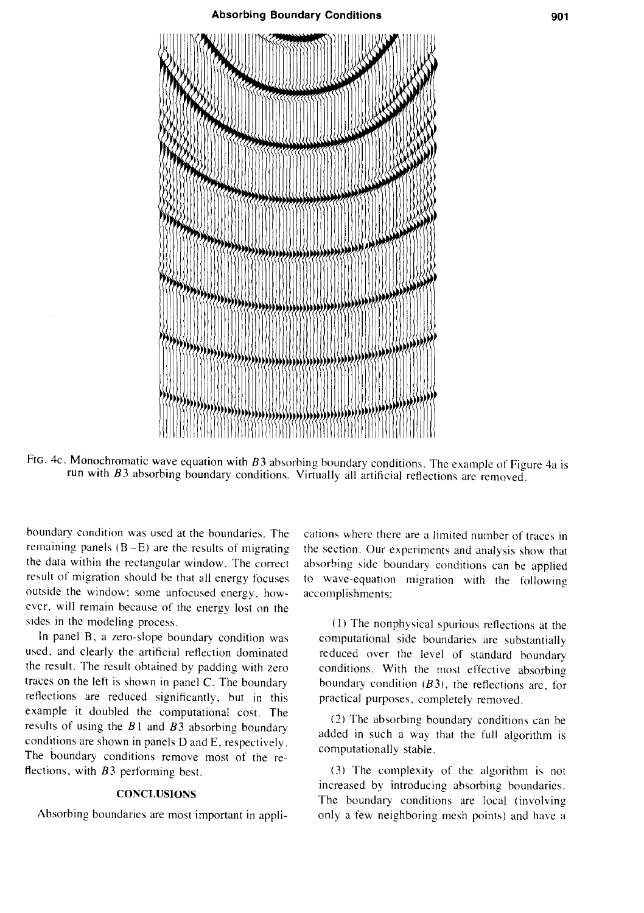

FIG. 4c. Monochromatic wave equation with  $B3$  absorbing boundary conditions. The example of Figure 4a is run with *B3* absorbing boundary conditions. Virtually all artificial reflections are removed.

boundary condition was used at the boundaries. The remaining panels  $(B - E)$  are the results of migrating the data within the rectangular window. The correct result of migration should be that all energy focuses outside the window; some unfocused energy, however, will remain because of the energy lost on the sides in the modeling process.

In panel B, a zero-slope boundary condition was used. and clearly the artificial reflection dominated the result. The result obtained by padding with zero traces on the left is shown in panel C. The boundary reflections are reduced significantly, but in this example it doubled the computational cost. The results of using the *B* I and *B3* absorbing boundary conditions are shown in panels D and E, respectively. The boundary conditions remove most of the reflections, with *B3* performing best.

#### **CONCLUSIONS**

Absorbing boundaries are most important in appli-

cations where there are a limited number of traces in the section. Our experiments and analysis show that absorbing side boundary conditions can be applied to wave-equation migration with the following accomplishments:

(I) The nonphysical spurious reflections at the computational side boundaries are substantially reduced over the level of standard boundary conditions. With the most effective absorbing boundary condition  $(B3)$ , the reflections are, for practical purposes, completely removed.

(2) The absorbing boundary conditions can be added in such a way that the full algorithm is computationally stable.

(3) The complexity of the algorithm is not increased by introducing absorbing boundaries. The boundary conditions are local (involving only a few neighboring mesh points) and have a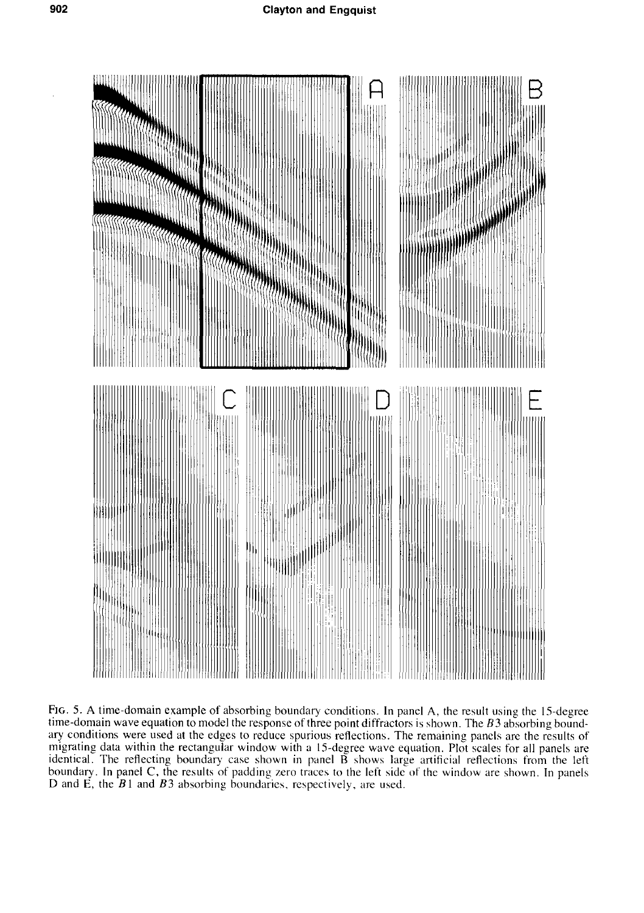

Fig. 5. A time-domain example of absorbing boundary conditions. In panel A, the result using the 15-degree time-domain wave equation to model the response of three point diffractors is shown. The  $B3$  absorbing boundary conditions were used at the edges to reduce spurious reflections. The remaining panels are the results of migrating data within the rectangular window with a 15-degree wave equation. Plot scales for all panels are identical. The reflecting boundary case shown in panel B shows large artificial reflections from the left boundary. In panel C, the results of padding zero traces to the left side of the window are shown. In panels D and E, the  $B1$  and  $B3$  absorbing boundaries, respectively, are used.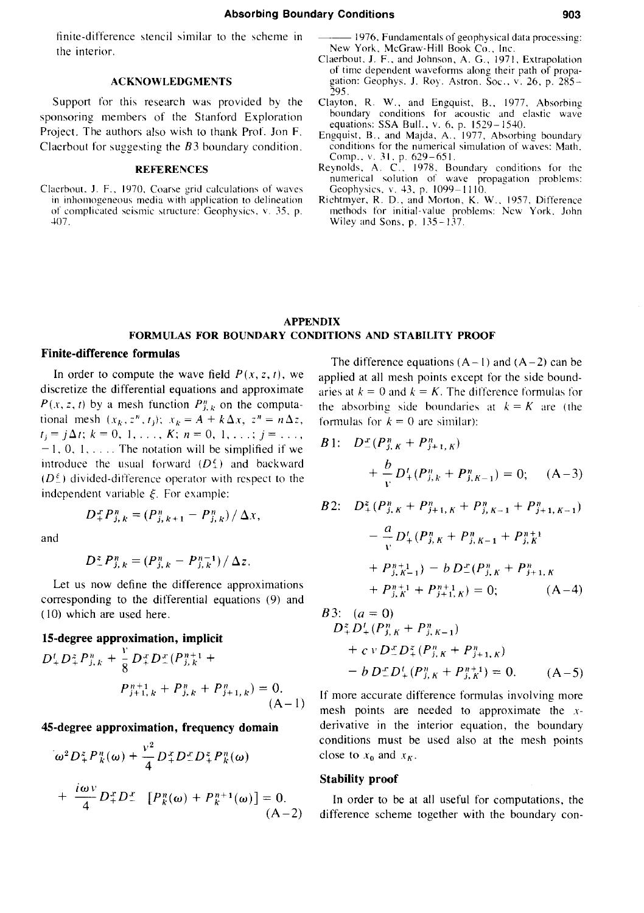finite-difference stencil similar to the scheme in the interior.

#### **ACKNOWLEDGMENTS**

Support for this research was provided by the sponsoring members of the Stanford Exploration Project. The authors also wish to thank Prof. Jon F. Clacrbout for suggesting the *83* boundary condition.

#### **REFERENCES**

Claerbout, J. F., 1970, Coarse grid calculations of waves in inhomogeneous media with application to delineation of complicated seismic structure: Geophysics. v. 35. p. 407.

- -1976. Fundamentals of geophysical data processing: New York, McGraw-Hill Book Co., Inc.
- Claerbout, J. F., and Johnson, A. G., 1971. Extrapolation of time dependent waveforms along their path of propagation: Geophys. J. Roy. Astron. Soc., v. 26, p. 285–<br>295.
- Clayton, R. W., and Engquist, B., 1977. Absorbing boundary conditions for acoustic and elastic wave equations: SSA Bull.. v. 6. p. 1529- 1540.
- Engquist, B., and Majda, A., 1977, Absorbing boundary conditions for the numerical simulation of waves: Math. Comp., v. 31, p. 629-651.
- Reynolds, A. C., 1978. Boundary conditions for the numerical solution of wave propagation problems:
- Geophysics. v. 43. p. 1099-1110. Richtmyer. R. D .• and Morton. K. W .. 1957. Difference methods for initial-value problems: New York. John Wiley and Sons, p. 135-137.

#### **APPENDIX FORMULAS FOR BOUNDARY CONDITIONS AND STABILITY PROOF**

### **Finite-difference formulas**

In order to compute the wave field  $P(x, z, t)$ , we discretize the differential equations and approximate  $P(x, z, t)$  by a mesh function  $P_{j,k}^n$  on the computational mesh  $(x_k, z^n, t_j)$ ;  $x_k = A + k\Delta x$ ,  $z^n = n\Delta z$ ,  $t_j = j\Delta t; k = 0, 1, \ldots, K; n = 0, 1, \ldots; j = \ldots,$  $-1, 0, 1, \ldots$ . The notation will be simplified if we introduce the usual forward  $(D_+^{\xi})$  and backward  $(D_+^{\epsilon})$  divided-difference operator with respect to the independent variable  $\xi$ . For example:

 $D_{+}^{x}P_{j,k}^{n} = (P_{j,k+1}^{n}-P_{j,k}^{n})/\Delta x,$ 

and

$$
D_{-}^{z}P_{j,k}^{n}=(P_{j,k}^{n}-P_{j,k}^{n-1})/\Delta z.
$$

Let us now define the difference approximations corresponding to the differential equations (9) and ( 10) which are used here.

# **15-degree approximation, implicit**

$$
D_{+}^{t}D_{+}^{z}P_{j,k}^{n} + \frac{v}{8}D_{+}^{x}D_{-}^{x}(P_{j,k}^{n+1}) +
$$

$$
P_{j+1,k}^{n+1} + P_{j,k}^{n} + P_{j+1,k}^{n}) = 0.
$$

$$
(A-1)
$$

#### **45-degree approximation, frequency domain**

$$
\omega^2 D_+^z P_k^n(\omega) + \frac{v^2}{4} D_+^x D_-^x D_+^z P_k^n(\omega)
$$
  
+ 
$$
\frac{i\omega v}{4} D_+^x D_-^x \left[ P_k^n(\omega) + P_k^{n+1}(\omega) \right] = 0.
$$
  
(A-2)

The difference equations  $(A-1)$  and  $(A-2)$  can be applied at all mesh points except for the side boundaries at  $k = 0$  and  $k = K$ . The difference formulas for the absorbing side boundaries at  $k = K$  are (the formulas for  $k = 0$  are similar):

B1: 
$$
D_{-}^{x}(P_{j,K}^{n}+P_{j+1,K}^{n})
$$
  
\t $+ \frac{b}{v}D_{+}^{t}(P_{j,K}^{n}+P_{j,K-1}^{n})=0;$  (A-3)  
\nB2:  $D_{+}^{z}(P_{j,K}^{n}+P_{j+1,K}^{n}+P_{j,K-1}^{n}+P_{j+1,K-1}^{n})$   
\t $- \frac{a}{v}D_{+}^{t}(P_{j,K}^{n}+P_{j,K-1}^{n}+P_{j,K}^{n+1})$   
\t $+ P_{j,K-1}^{n+1})-b D_{-}^{x}(P_{j,K}^{n}+P_{j+1,K}^{n})$ 

B3: 
$$
(a = 0)
$$
  
\n $D_+^2 D_+^t (P_{j,K}^n + P_{j,K-1}^n)$   
\n $+ c v D_-^x D_+^z (P_{j,K}^n + P_{j+1,K}^n)$   
\n $- b D_-^x D_+^t (P_{j,K}^n + P_{j,K}^{n+1}) = 0.$  (A-5)

 $(A-4)$ 

 $+ P^{n+1} + P^{n+1} \nu = 0$ ;

If more accurate difference formulas involving more mesh points are needed to approximate the *x*derivative in the interior equation, the boundary conditions must be used also at the mesh points close to  $x_0$  and  $x_K$ .

# **Stability proof**

In order to be at all useful for computations, the difference scheme together with the boundary con